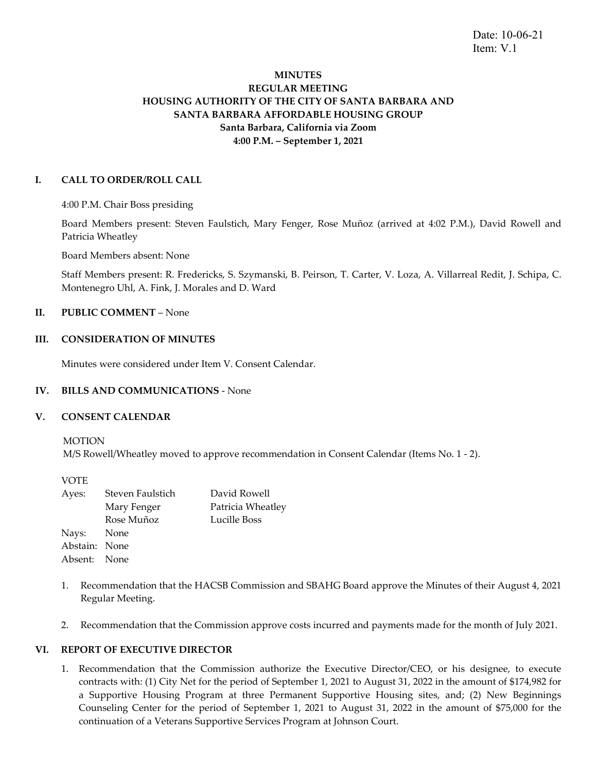Date: 10-06-21 Item: V.1

# **MINUTES REGULAR MEETING HOUSING AUTHORITY OF THE CITY OF SANTA BARBARA AND SANTA BARBARA AFFORDABLE HOUSING GROUP Santa Barbara, California via Zoom 4:00 P.M. – September 1, 2021**

# **I. CALL TO ORDER/ROLL CALL**

4:00 P.M. Chair Boss presiding

Board Members present: Steven Faulstich, Mary Fenger, Rose Muñoz (arrived at 4:02 P.M.), David Rowell and Patricia Wheatley

Board Members absent: None

Staff Members present: R. Fredericks, S. Szymanski, B. Peirson, T. Carter, V. Loza, A. Villarreal Redit, J. Schipa, C. Montenegro Uhl, A. Fink, J. Morales and D. Ward

# **II. PUBLIC COMMENT** – None

# **III. CONSIDERATION OF MINUTES**

Minutes were considered under Item V. Consent Calendar.

## **IV. BILLS AND COMMUNICATIONS** - None

## **V. CONSENT CALENDAR**

MOTION

M/S Rowell/Wheatley moved to approve recommendation in Consent Calendar (Items No. 1 - 2).

VOTE

| Ayes:         | Steven Faulstich | David Rowell      |
|---------------|------------------|-------------------|
|               | Mary Fenger      | Patricia Wheatley |
|               | Rose Muñoz       | Lucille Boss      |
| Nays: None    |                  |                   |
| Abstain: None |                  |                   |
| Absent: None  |                  |                   |

- 1. Recommendation that the HACSB Commission and SBAHG Board approve the Minutes of their August 4, 2021 Regular Meeting.
- 2. Recommendation that the Commission approve costs incurred and payments made for the month of July 2021.

## **VI. REPORT OF EXECUTIVE DIRECTOR**

1. Recommendation that the Commission authorize the Executive Director/CEO, or his designee, to execute contracts with: (1) City Net for the period of September 1, 2021 to August 31, 2022 in the amount of \$174,982 for a Supportive Housing Program at three Permanent Supportive Housing sites, and; (2) New Beginnings Counseling Center for the period of September 1, 2021 to August 31, 2022 in the amount of \$75,000 for the continuation of a Veterans Supportive Services Program at Johnson Court.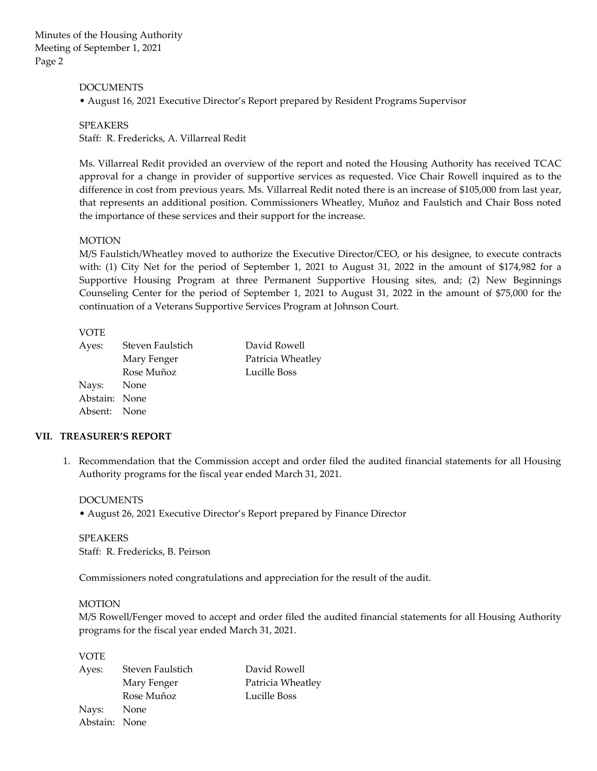Minutes of the Housing Authority Meeting of September 1, 2021 Page 2

## DOCUMENTS

• August 16, 2021 Executive Director's Report prepared by Resident Programs Supervisor

SPEAKERS

Staff: R. Fredericks, A. Villarreal Redit

Ms. Villarreal Redit provided an overview of the report and noted the Housing Authority has received TCAC approval for a change in provider of supportive services as requested. Vice Chair Rowell inquired as to the difference in cost from previous years. Ms. Villarreal Redit noted there is an increase of \$105,000 from last year, that represents an additional position. Commissioners Wheatley, Muñoz and Faulstich and Chair Boss noted the importance of these services and their support for the increase.

## MOTION

M/S Faulstich/Wheatley moved to authorize the Executive Director/CEO, or his designee, to execute contracts with: (1) City Net for the period of September 1, 2021 to August 31, 2022 in the amount of \$174,982 for a Supportive Housing Program at three Permanent Supportive Housing sites, and; (2) New Beginnings Counseling Center for the period of September 1, 2021 to August 31, 2022 in the amount of \$75,000 for the continuation of a Veterans Supportive Services Program at Johnson Court.

#### VOTE

| Steven Faulstich | David Rowell                                |
|------------------|---------------------------------------------|
| Mary Fenger      | Patricia Wheatley                           |
| Rose Muñoz       | Lucille Boss                                |
|                  |                                             |
|                  |                                             |
|                  |                                             |
|                  | Nays: None<br>Abstain: None<br>Absent: None |

## **VII. TREASURER'S REPORT**

1. Recommendation that the Commission accept and order filed the audited financial statements for all Housing Authority programs for the fiscal year ended March 31, 2021.

DOCUMENTS • August 26, 2021 Executive Director's Report prepared by Finance Director

SPEAKERS Staff: R. Fredericks, B. Peirson

Commissioners noted congratulations and appreciation for the result of the audit.

#### MOTION

M/S Rowell/Fenger moved to accept and order filed the audited financial statements for all Housing Authority programs for the fiscal year ended March 31, 2021.

VOTE

| Ayes:         | Steven Faulstich | David Rowell      |
|---------------|------------------|-------------------|
|               | Mary Fenger      | Patricia Wheatley |
|               | Rose Muñoz       | Lucille Boss      |
| Nays:         | None             |                   |
| Abstain: None |                  |                   |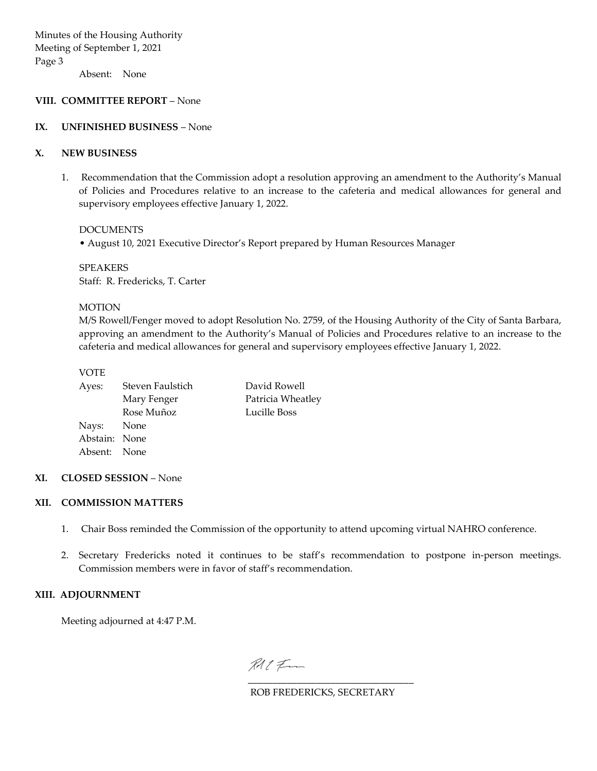Absent: None

## **VIII. COMMITTEE REPORT** – None

#### **IX. UNFINISHED BUSINESS** – None

#### **X. NEW BUSINESS**

1. Recommendation that the Commission adopt a resolution approving an amendment to the Authority's Manual of Policies and Procedures relative to an increase to the cafeteria and medical allowances for general and supervisory employees effective January 1, 2022.

DOCUMENTS

• August 10, 2021 Executive Director's Report prepared by Human Resources Manager

SPEAKERS Staff: R. Fredericks, T. Carter

#### MOTION

M/S Rowell/Fenger moved to adopt Resolution No. 2759, of the Housing Authority of the City of Santa Barbara, approving an amendment to the Authority's Manual of Policies and Procedures relative to an increase to the cafeteria and medical allowances for general and supervisory employees effective January 1, 2022.

#### VOTE

| Ayes:         | Steven Faulstich | David Rowell      |
|---------------|------------------|-------------------|
|               | Mary Fenger      | Patricia Wheatley |
|               | Rose Muñoz       | Lucille Boss      |
| Nays: None    |                  |                   |
| Abstain: None |                  |                   |
| Absent: None  |                  |                   |
|               |                  |                   |

## **XI. CLOSED SESSION** – None

#### **XII. COMMISSION MATTERS**

- 1. Chair Boss reminded the Commission of the opportunity to attend upcoming virtual NAHRO conference.
- 2. Secretary Fredericks noted it continues to be staff's recommendation to postpone in-person meetings. Commission members were in favor of staff's recommendation.

## **XIII. ADJOURNMENT**

Meeting adjourned at 4:47 P.M.

RAC Fra [\\_\\_\\_\\_\\_\\_\\_\\_\\_\\_\\_\\_\\_\\_\\_\\_\\_\\_\\_\\_\\_\\_\\_\\_\\_\\_\\_\\_\\_\\_\\_\\_\\_\\_](https://secure.na2.echosign.com/verifier?tx=CBJCHBCAABAAXBcTbvFYlnG-7mHhfizu-HJDMIyjMz6y)

ROB FREDERICKS, SECRETARY